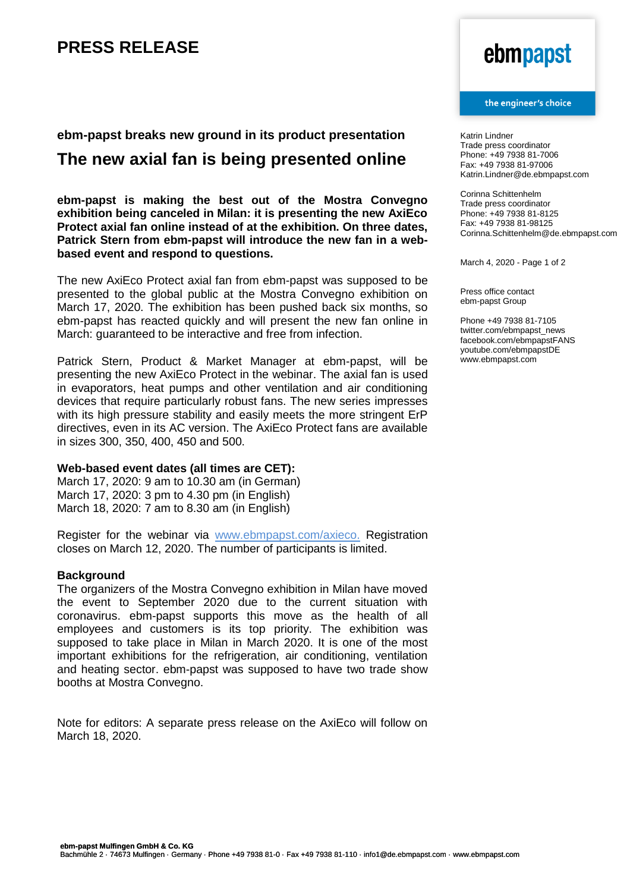### **PRESS RELEASE**

## ebmpapst

#### the engineer's choice

**ebm-papst breaks new ground in its product presentation** 

### **The new axial fan is being presented online**

**ebm-papst is making the best out of the Mostra Convegno exhibition being canceled in Milan: it is presenting the new AxiEco Protect axial fan online instead of at the exhibition. On three dates, Patrick Stern from ebm-papst will introduce the new fan in a webbased event and respond to questions.**

The new AxiEco Protect axial fan from ebm-papst was supposed to be presented to the global public at the Mostra Convegno exhibition on March 17, 2020. The exhibition has been pushed back six months, so ebm-papst has reacted quickly and will present the new fan online in March: guaranteed to be interactive and free from infection.

Patrick Stern, Product & Market Manager at ebm-papst, will be presenting the new AxiEco Protect in the webinar. The axial fan is used in evaporators, heat pumps and other ventilation and air conditioning devices that require particularly robust fans. The new series impresses with its high pressure stability and easily meets the more stringent ErP directives, even in its AC version. The AxiEco Protect fans are available in sizes 300, 350, 400, 450 and 500.

### **Web-based event dates (all times are CET):**

March 17, 2020: 9 am to 10.30 am (in German) March 17, 2020: 3 pm to 4.30 pm (in English) March 18, 2020: 7 am to 8.30 am (in English)

Register for the webinar via [www.ebmpapst.com/axieco.](http://www.ebmpapst.com/axieco) Registration closes on March 12, 2020. The number of participants is limited.

### **Background**

The organizers of the Mostra Convegno exhibition in Milan have moved the event to September 2020 due to the current situation with coronavirus. ebm-papst supports this move as the health of all employees and customers is its top priority. The exhibition was supposed to take place in Milan in March 2020. It is one of the most important exhibitions for the refrigeration, air conditioning, ventilation and heating sector. ebm-papst was supposed to have two trade show booths at Mostra Convegno.

Note for editors: A separate press release on the AxiEco will follow on March 18, 2020.

Katrin Lindner Trade press coordinator Phone: +49 7938 81-7006 Fax: +49 7938 81-97006 Katrin.Lindner@de.ebmpapst.com

Corinna Schittenhelm Trade press coordinator Phone: +49 7938 81-8125 Fax: +49 7938 81-98125 Corinna.Schittenhelm@de.ebmpapst.com

March 4, 2020 - Page 1 of 2

Press office contact ebm-papst Group

Phone +49 7938 81-7105 twitter.com/ebmpapst\_news facebook.com/ebmpapstFANS youtube.com/ebmpapstDE www.ebmpapst.com